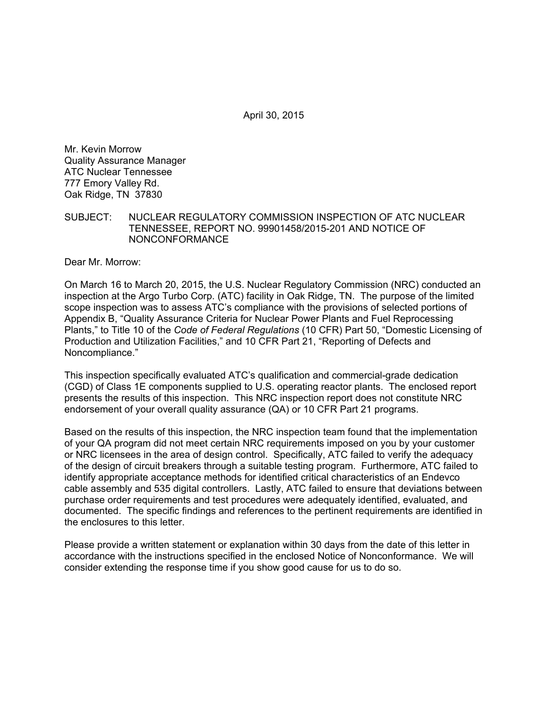April 30, 2015

Mr. Kevin Morrow Quality Assurance Manager ATC Nuclear Tennessee 777 Emory Valley Rd. Oak Ridge, TN 37830

### SUBJECT: NUCLEAR REGULATORY COMMISSION INSPECTION OF ATC NUCLEAR TENNESSEE, REPORT NO. 99901458/2015-201 AND NOTICE OF NONCONFORMANCE

Dear Mr. Morrow:

On March 16 to March 20, 2015, the U.S. Nuclear Regulatory Commission (NRC) conducted an inspection at the Argo Turbo Corp. (ATC) facility in Oak Ridge, TN. The purpose of the limited scope inspection was to assess ATC's compliance with the provisions of selected portions of Appendix B, "Quality Assurance Criteria for Nuclear Power Plants and Fuel Reprocessing Plants," to Title 10 of the *Code of Federal Regulations* (10 CFR) Part 50, "Domestic Licensing of Production and Utilization Facilities," and 10 CFR Part 21, "Reporting of Defects and Noncompliance."

This inspection specifically evaluated ATC's qualification and commercial-grade dedication (CGD) of Class 1E components supplied to U.S. operating reactor plants. The enclosed report presents the results of this inspection. This NRC inspection report does not constitute NRC endorsement of your overall quality assurance (QA) or 10 CFR Part 21 programs.

Based on the results of this inspection, the NRC inspection team found that the implementation of your QA program did not meet certain NRC requirements imposed on you by your customer or NRC licensees in the area of design control. Specifically, ATC failed to verify the adequacy of the design of circuit breakers through a suitable testing program. Furthermore, ATC failed to identify appropriate acceptance methods for identified critical characteristics of an Endevco cable assembly and 535 digital controllers. Lastly, ATC failed to ensure that deviations between purchase order requirements and test procedures were adequately identified, evaluated, and documented. The specific findings and references to the pertinent requirements are identified in the enclosures to this letter.

Please provide a written statement or explanation within 30 days from the date of this letter in accordance with the instructions specified in the enclosed Notice of Nonconformance. We will consider extending the response time if you show good cause for us to do so.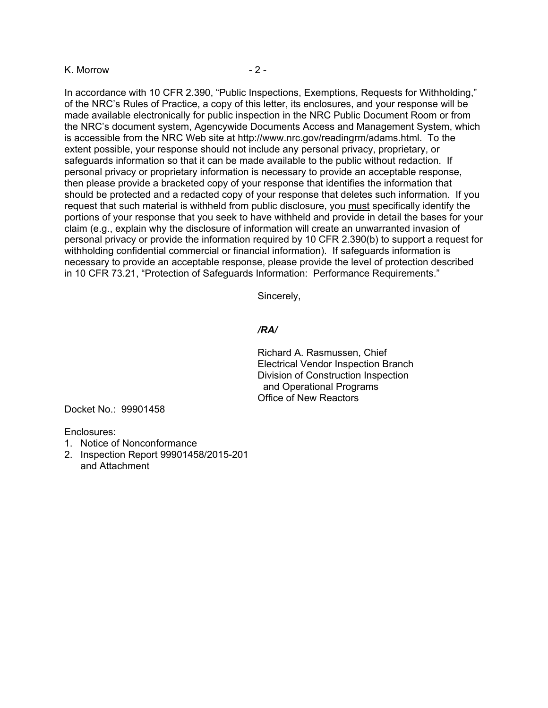#### K. Morrow - 2 -

In accordance with 10 CFR 2.390, "Public Inspections, Exemptions, Requests for Withholding," of the NRC's Rules of Practice, a copy of this letter, its enclosures, and your response will be made available electronically for public inspection in the NRC Public Document Room or from the NRC's document system, Agencywide Documents Access and Management System, which is accessible from the NRC Web site at http://www.nrc.gov/readingrm/adams.html. To the extent possible, your response should not include any personal privacy, proprietary, or safeguards information so that it can be made available to the public without redaction. If personal privacy or proprietary information is necessary to provide an acceptable response, then please provide a bracketed copy of your response that identifies the information that should be protected and a redacted copy of your response that deletes such information. If you request that such material is withheld from public disclosure, you must specifically identify the portions of your response that you seek to have withheld and provide in detail the bases for your claim (e.g., explain why the disclosure of information will create an unwarranted invasion of personal privacy or provide the information required by 10 CFR 2.390(b) to support a request for withholding confidential commercial or financial information). If safeguards information is necessary to provide an acceptable response, please provide the level of protection described in 10 CFR 73.21, "Protection of Safeguards Information: Performance Requirements."

Sincerely,

#### */RA/*

Richard A. Rasmussen, Chief Electrical Vendor Inspection Branch Division of Construction Inspection and Operational Programs Office of New Reactors

Docket No.: 99901458

Enclosures:

- 1. Notice of Nonconformance
- 2. Inspection Report 99901458/2015-201 and Attachment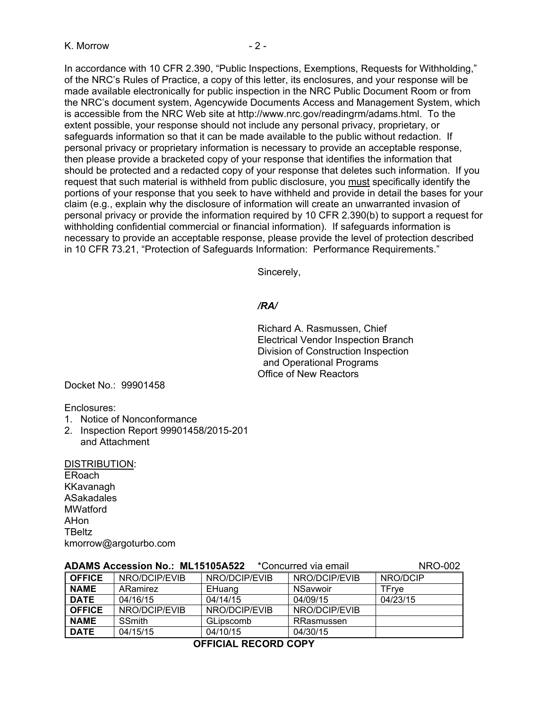In accordance with 10 CFR 2.390, "Public Inspections, Exemptions, Requests for Withholding," of the NRC's Rules of Practice, a copy of this letter, its enclosures, and your response will be made available electronically for public inspection in the NRC Public Document Room or from the NRC's document system, Agencywide Documents Access and Management System, which is accessible from the NRC Web site at http://www.nrc.gov/readingrm/adams.html. To the extent possible, your response should not include any personal privacy, proprietary, or safeguards information so that it can be made available to the public without redaction. If personal privacy or proprietary information is necessary to provide an acceptable response, then please provide a bracketed copy of your response that identifies the information that should be protected and a redacted copy of your response that deletes such information. If you request that such material is withheld from public disclosure, you must specifically identify the portions of your response that you seek to have withheld and provide in detail the bases for your claim (e.g., explain why the disclosure of information will create an unwarranted invasion of personal privacy or provide the information required by 10 CFR 2.390(b) to support a request for withholding confidential commercial or financial information). If safeguards information is necessary to provide an acceptable response, please provide the level of protection described in 10 CFR 73.21, "Protection of Safeguards Information: Performance Requirements."

Sincerely,

#### */RA/*

Richard A. Rasmussen, Chief Electrical Vendor Inspection Branch Division of Construction Inspection and Operational Programs Office of New Reactors

Docket No.: 99901458

Enclosures:

- 1. Notice of Nonconformance
- 2. Inspection Report 99901458/2015-201 and Attachment

#### DISTRIBUTION:

ERoach KKavanagh ASakadales **MWatford** AHon **TBeltz** kmorrow@argoturbo.com

|               | ADAMU AUUUSSIUII IIU METUTUUAULL |               | <b>OUTUGITUG VID UITIGIT</b> | ם שנוע   |
|---------------|----------------------------------|---------------|------------------------------|----------|
| <b>OFFICE</b> | NRO/DCIP/EVIB                    | NRO/DCIP/EVIB | NRO/DCIP/EVIB                | NRO/DCIP |
| <b>NAME</b>   | ARamirez                         | EHuang        | NSavwoir                     | TFrve    |
| <b>DATE</b>   | 04/16/15                         | 04/14/15      | 04/09/15                     | 04/23/15 |
| <b>OFFICE</b> | NRO/DCIP/EVIB                    | NRO/DCIP/EVIB | NRO/DCIP/EVIB                |          |
| <b>NAME</b>   | <b>SSmith</b>                    | GLipscomb     | RRasmussen                   |          |
| <b>DATE</b>   | 04/15/15                         | 04/10/15      | 04/30/15                     |          |

**ADAMS Accession No.: ML15105A522** \*Concurred via email NRO-002

## **OFFICIAL RECORD COPY**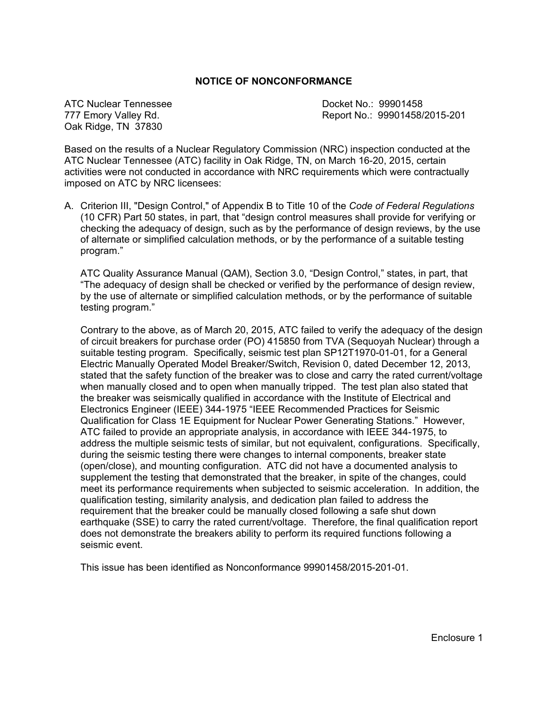#### **NOTICE OF NONCONFORMANCE**

ATC Nuclear Tennessee **Docket No.: 99901458** Oak Ridge, TN 37830

777 Emory Valley Rd. Report No.: 99901458/2015-201

Based on the results of a Nuclear Regulatory Commission (NRC) inspection conducted at the ATC Nuclear Tennessee (ATC) facility in Oak Ridge, TN, on March 16-20, 2015, certain activities were not conducted in accordance with NRC requirements which were contractually imposed on ATC by NRC licensees:

A. Criterion III, "Design Control," of Appendix B to Title 10 of the *Code of Federal Regulations* (10 CFR) Part 50 states, in part, that "design control measures shall provide for verifying or checking the adequacy of design, such as by the performance of design reviews, by the use of alternate or simplified calculation methods, or by the performance of a suitable testing program."

ATC Quality Assurance Manual (QAM), Section 3.0, "Design Control," states, in part, that "The adequacy of design shall be checked or verified by the performance of design review, by the use of alternate or simplified calculation methods, or by the performance of suitable testing program."

Contrary to the above, as of March 20, 2015, ATC failed to verify the adequacy of the design of circuit breakers for purchase order (PO) 415850 from TVA (Sequoyah Nuclear) through a suitable testing program. Specifically, seismic test plan SP12T1970-01-01, for a General Electric Manually Operated Model Breaker/Switch, Revision 0, dated December 12, 2013, stated that the safety function of the breaker was to close and carry the rated current/voltage when manually closed and to open when manually tripped. The test plan also stated that the breaker was seismically qualified in accordance with the Institute of Electrical and Electronics Engineer (IEEE) 344-1975 "IEEE Recommended Practices for Seismic Qualification for Class 1E Equipment for Nuclear Power Generating Stations." However, ATC failed to provide an appropriate analysis, in accordance with IEEE 344-1975, to address the multiple seismic tests of similar, but not equivalent, configurations. Specifically, during the seismic testing there were changes to internal components, breaker state (open/close), and mounting configuration. ATC did not have a documented analysis to supplement the testing that demonstrated that the breaker, in spite of the changes, could meet its performance requirements when subjected to seismic acceleration. In addition, the qualification testing, similarity analysis, and dedication plan failed to address the requirement that the breaker could be manually closed following a safe shut down earthquake (SSE) to carry the rated current/voltage. Therefore, the final qualification report does not demonstrate the breakers ability to perform its required functions following a seismic event.

This issue has been identified as Nonconformance 99901458/2015-201-01.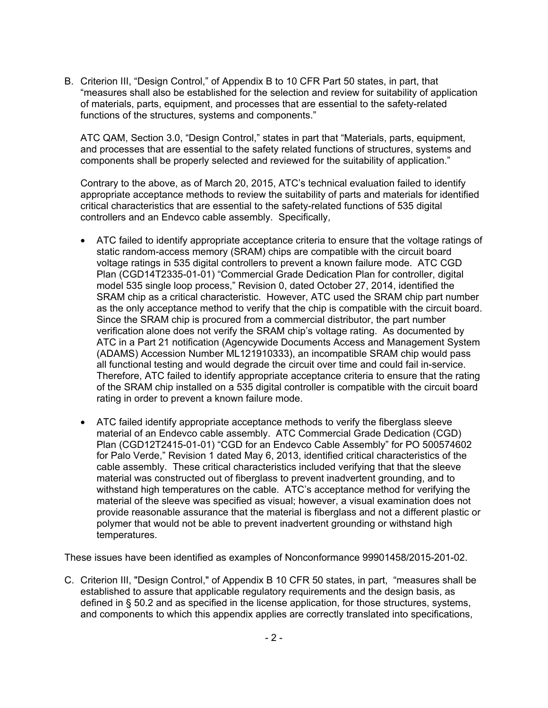B. Criterion III, "Design Control," of Appendix B to 10 CFR Part 50 states, in part, that "measures shall also be established for the selection and review for suitability of application of materials, parts, equipment, and processes that are essential to the safety-related functions of the structures, systems and components."

ATC QAM, Section 3.0, "Design Control," states in part that "Materials, parts, equipment, and processes that are essential to the safety related functions of structures, systems and components shall be properly selected and reviewed for the suitability of application."

Contrary to the above, as of March 20, 2015, ATC's technical evaluation failed to identify appropriate acceptance methods to review the suitability of parts and materials for identified critical characteristics that are essential to the safety-related functions of 535 digital controllers and an Endevco cable assembly. Specifically,

- ATC failed to identify appropriate acceptance criteria to ensure that the voltage ratings of static random-access memory (SRAM) chips are compatible with the circuit board voltage ratings in 535 digital controllers to prevent a known failure mode. ATC CGD Plan (CGD14T2335-01-01) "Commercial Grade Dedication Plan for controller, digital model 535 single loop process," Revision 0, dated October 27, 2014, identified the SRAM chip as a critical characteristic. However, ATC used the SRAM chip part number as the only acceptance method to verify that the chip is compatible with the circuit board. Since the SRAM chip is procured from a commercial distributor, the part number verification alone does not verify the SRAM chip's voltage rating. As documented by ATC in a Part 21 notification (Agencywide Documents Access and Management System (ADAMS) Accession Number ML121910333), an incompatible SRAM chip would pass all functional testing and would degrade the circuit over time and could fail in-service. Therefore, ATC failed to identify appropriate acceptance criteria to ensure that the rating of the SRAM chip installed on a 535 digital controller is compatible with the circuit board rating in order to prevent a known failure mode.
- ATC failed identify appropriate acceptance methods to verify the fiberglass sleeve material of an Endevco cable assembly. ATC Commercial Grade Dedication (CGD) Plan (CGD12T2415-01-01) "CGD for an Endevco Cable Assembly" for PO 500574602 for Palo Verde," Revision 1 dated May 6, 2013, identified critical characteristics of the cable assembly. These critical characteristics included verifying that that the sleeve material was constructed out of fiberglass to prevent inadvertent grounding, and to withstand high temperatures on the cable. ATC's acceptance method for verifying the material of the sleeve was specified as visual; however, a visual examination does not provide reasonable assurance that the material is fiberglass and not a different plastic or polymer that would not be able to prevent inadvertent grounding or withstand high temperatures.

These issues have been identified as examples of Nonconformance 99901458/2015-201-02.

C. Criterion III, "Design Control," of Appendix B 10 CFR 50 states, in part, "measures shall be established to assure that applicable regulatory requirements and the design basis, as defined in § 50.2 and as specified in the license application, for those structures, systems, and components to which this appendix applies are correctly translated into specifications,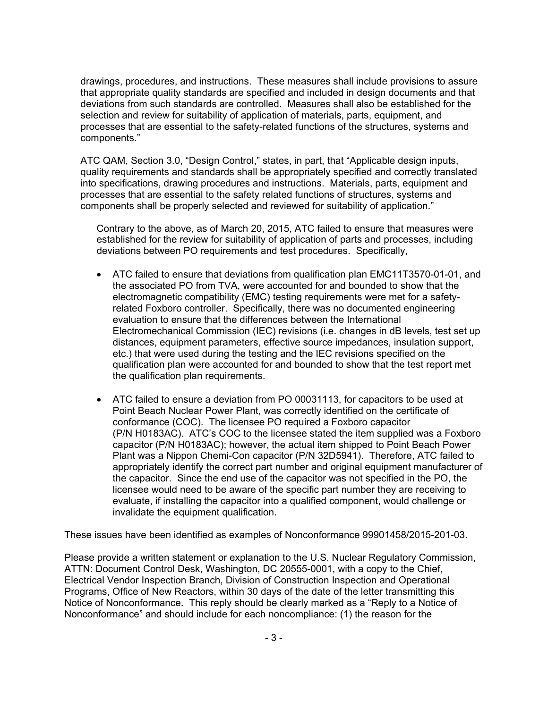drawings, procedures, and instructions. These measures shall include provisions to assure that appropriate quality standards are specified and included in design documents and that deviations from such standards are controlled. Measures shall also be established for the selection and review for suitability of application of materials, parts, equipment, and processes that are essential to the safety-related functions of the structures, systems and components."

ATC QAM, Section 3.0, "Design Control," states, in part, that "Applicable design inputs, quality requirements and standards shall be appropriately specified and correctly translated into specifications, drawing procedures and instructions. Materials, parts, equipment and processes that are essential to the safety related functions of structures, systems and components shall be properly selected and reviewed for suitability of application."

Contrary to the above, as of March 20, 2015, ATC failed to ensure that measures were established for the review for suitability of application of parts and processes, including deviations between PO requirements and test procedures. Specifically,

- ATC failed to ensure that deviations from qualification plan EMC11T3570-01-01, and the associated PO from TVA, were accounted for and bounded to show that the electromagnetic compatibility (EMC) testing requirements were met for a safetyrelated Foxboro controller. Specifically, there was no documented engineering evaluation to ensure that the differences between the International Electromechanical Commission (IEC) revisions (i.e. changes in dB levels, test set up distances, equipment parameters, effective source impedances, insulation support, etc.) that were used during the testing and the IEC revisions specified on the qualification plan were accounted for and bounded to show that the test report met the qualification plan requirements.
- ATC failed to ensure a deviation from PO 00031113, for capacitors to be used at Point Beach Nuclear Power Plant, was correctly identified on the certificate of conformance (COC). The licensee PO required a Foxboro capacitor (P/N H0183AC). ATC's COC to the licensee stated the item supplied was a Foxboro capacitor (P/N H0183AC); however, the actual item shipped to Point Beach Power Plant was a Nippon Chemi-Con capacitor (P/N 32D5941). Therefore, ATC failed to appropriately identify the correct part number and original equipment manufacturer of the capacitor. Since the end use of the capacitor was not specified in the PO, the licensee would need to be aware of the specific part number they are receiving to evaluate, if installing the capacitor into a qualified component, would challenge or invalidate the equipment qualification.

These issues have been identified as examples of Nonconformance 99901458/2015-201-03.

Please provide a written statement or explanation to the U.S. Nuclear Regulatory Commission, ATTN: Document Control Desk, Washington, DC 20555-0001, with a copy to the Chief, Electrical Vendor Inspection Branch, Division of Construction Inspection and Operational Programs, Office of New Reactors, within 30 days of the date of the letter transmitting this Notice of Nonconformance. This reply should be clearly marked as a "Reply to a Notice of Nonconformance" and should include for each noncompliance: (1) the reason for the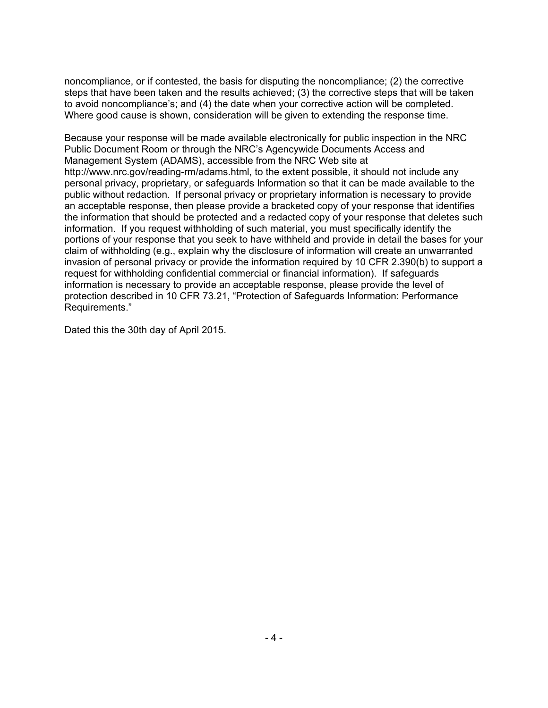noncompliance, or if contested, the basis for disputing the noncompliance; (2) the corrective steps that have been taken and the results achieved; (3) the corrective steps that will be taken to avoid noncompliance's; and (4) the date when your corrective action will be completed. Where good cause is shown, consideration will be given to extending the response time.

Because your response will be made available electronically for public inspection in the NRC Public Document Room or through the NRC's Agencywide Documents Access and Management System (ADAMS), accessible from the NRC Web site at http://www.nrc.gov/reading-rm/adams.html, to the extent possible, it should not include any personal privacy, proprietary, or safeguards Information so that it can be made available to the public without redaction. If personal privacy or proprietary information is necessary to provide an acceptable response, then please provide a bracketed copy of your response that identifies the information that should be protected and a redacted copy of your response that deletes such information. If you request withholding of such material, you must specifically identify the portions of your response that you seek to have withheld and provide in detail the bases for your claim of withholding (e.g., explain why the disclosure of information will create an unwarranted invasion of personal privacy or provide the information required by 10 CFR 2.390(b) to support a request for withholding confidential commercial or financial information). If safeguards information is necessary to provide an acceptable response, please provide the level of protection described in 10 CFR 73.21, "Protection of Safeguards Information: Performance Requirements."

Dated this the 30th day of April 2015.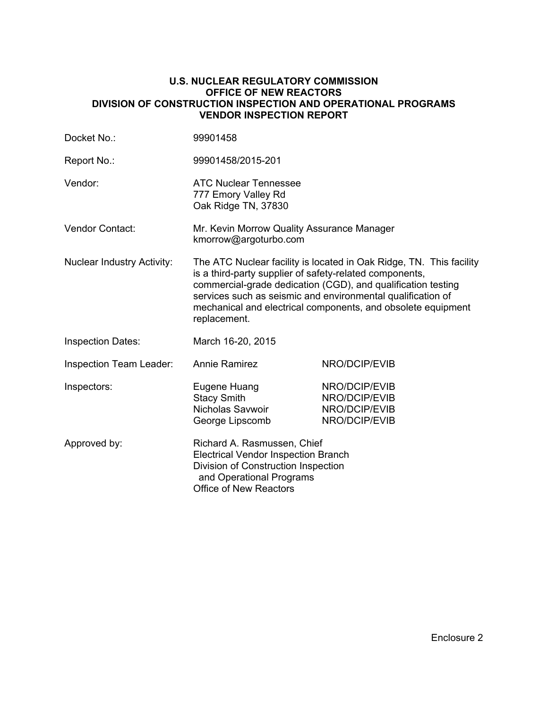#### **U.S. NUCLEAR REGULATORY COMMISSION OFFICE OF NEW REACTORS DIVISION OF CONSTRUCTION INSPECTION AND OPERATIONAL PROGRAMS VENDOR INSPECTION REPORT**

| Docket No.:                       | 99901458                                                                                                                                                                                                                                                                                                                                      |                                                                  |  |
|-----------------------------------|-----------------------------------------------------------------------------------------------------------------------------------------------------------------------------------------------------------------------------------------------------------------------------------------------------------------------------------------------|------------------------------------------------------------------|--|
| Report No.:                       | 99901458/2015-201                                                                                                                                                                                                                                                                                                                             |                                                                  |  |
| Vendor:                           | <b>ATC Nuclear Tennessee</b><br>777 Emory Valley Rd<br>Oak Ridge TN, 37830                                                                                                                                                                                                                                                                    |                                                                  |  |
| Vendor Contact:                   | Mr. Kevin Morrow Quality Assurance Manager<br>kmorrow@argoturbo.com                                                                                                                                                                                                                                                                           |                                                                  |  |
| <b>Nuclear Industry Activity:</b> | The ATC Nuclear facility is located in Oak Ridge, TN. This facility<br>is a third-party supplier of safety-related components,<br>commercial-grade dedication (CGD), and qualification testing<br>services such as seismic and environmental qualification of<br>mechanical and electrical components, and obsolete equipment<br>replacement. |                                                                  |  |
| <b>Inspection Dates:</b>          | March 16-20, 2015                                                                                                                                                                                                                                                                                                                             |                                                                  |  |
| <b>Inspection Team Leader:</b>    | <b>Annie Ramirez</b>                                                                                                                                                                                                                                                                                                                          | NRO/DCIP/EVIB                                                    |  |
| Inspectors:                       | Eugene Huang<br><b>Stacy Smith</b><br>Nicholas Savwoir<br>George Lipscomb                                                                                                                                                                                                                                                                     | NRO/DCIP/EVIB<br>NRO/DCIP/EVIB<br>NRO/DCIP/EVIB<br>NRO/DCIP/EVIB |  |
| Approved by:                      | Richard A. Rasmussen, Chief<br><b>Electrical Vendor Inspection Branch</b><br>Division of Construction Inspection<br>and Operational Programs<br><b>Office of New Reactors</b>                                                                                                                                                                 |                                                                  |  |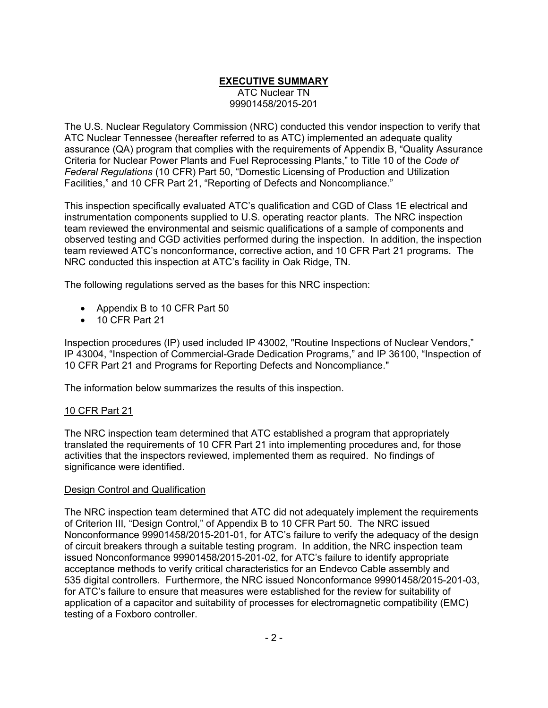## **EXECUTIVE SUMMARY** ATC Nuclear TN 99901458/2015-201

The U.S. Nuclear Regulatory Commission (NRC) conducted this vendor inspection to verify that ATC Nuclear Tennessee (hereafter referred to as ATC) implemented an adequate quality assurance (QA) program that complies with the requirements of Appendix B, "Quality Assurance Criteria for Nuclear Power Plants and Fuel Reprocessing Plants," to Title 10 of the *Code of Federal Regulations* (10 CFR) Part 50, "Domestic Licensing of Production and Utilization Facilities," and 10 CFR Part 21, "Reporting of Defects and Noncompliance."

This inspection specifically evaluated ATC's qualification and CGD of Class 1E electrical and instrumentation components supplied to U.S. operating reactor plants. The NRC inspection team reviewed the environmental and seismic qualifications of a sample of components and observed testing and CGD activities performed during the inspection. In addition, the inspection team reviewed ATC's nonconformance, corrective action, and 10 CFR Part 21 programs. The NRC conducted this inspection at ATC's facility in Oak Ridge, TN.

The following regulations served as the bases for this NRC inspection:

- Appendix B to 10 CFR Part 50
- 10 CFR Part 21

Inspection procedures (IP) used included IP 43002, "Routine Inspections of Nuclear Vendors," IP 43004, "Inspection of Commercial-Grade Dedication Programs," and IP 36100, "Inspection of 10 CFR Part 21 and Programs for Reporting Defects and Noncompliance."

The information below summarizes the results of this inspection.

## 10 CFR Part 21

The NRC inspection team determined that ATC established a program that appropriately translated the requirements of 10 CFR Part 21 into implementing procedures and, for those activities that the inspectors reviewed, implemented them as required. No findings of significance were identified.

## Design Control and Qualification

The NRC inspection team determined that ATC did not adequately implement the requirements of Criterion III, "Design Control," of Appendix B to 10 CFR Part 50. The NRC issued Nonconformance 99901458/2015-201-01, for ATC's failure to verify the adequacy of the design of circuit breakers through a suitable testing program. In addition, the NRC inspection team issued Nonconformance 99901458/2015-201-02, for ATC's failure to identify appropriate acceptance methods to verify critical characteristics for an Endevco Cable assembly and 535 digital controllers. Furthermore, the NRC issued Nonconformance 99901458/2015-201-03, for ATC's failure to ensure that measures were established for the review for suitability of application of a capacitor and suitability of processes for electromagnetic compatibility (EMC) testing of a Foxboro controller.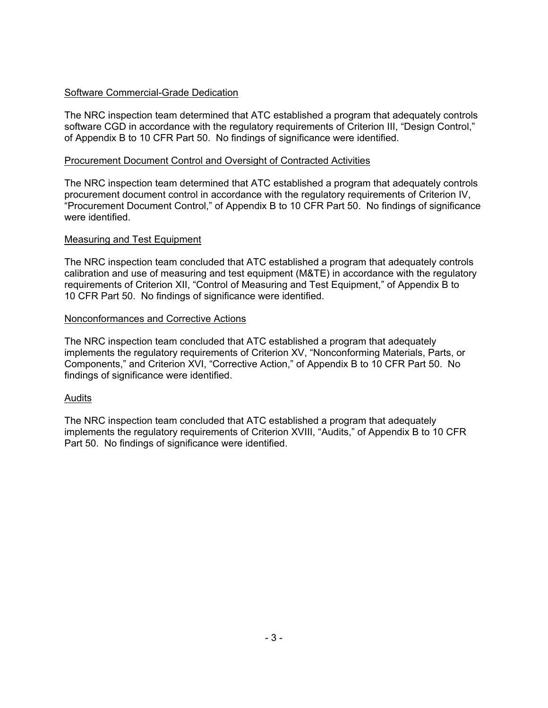## Software Commercial-Grade Dedication

The NRC inspection team determined that ATC established a program that adequately controls software CGD in accordance with the regulatory requirements of Criterion III, "Design Control," of Appendix B to 10 CFR Part 50. No findings of significance were identified.

## Procurement Document Control and Oversight of Contracted Activities

The NRC inspection team determined that ATC established a program that adequately controls procurement document control in accordance with the regulatory requirements of Criterion IV, "Procurement Document Control," of Appendix B to 10 CFR Part 50. No findings of significance were identified.

## Measuring and Test Equipment

The NRC inspection team concluded that ATC established a program that adequately controls calibration and use of measuring and test equipment (M&TE) in accordance with the regulatory requirements of Criterion XII, "Control of Measuring and Test Equipment," of Appendix B to 10 CFR Part 50. No findings of significance were identified.

## Nonconformances and Corrective Actions

The NRC inspection team concluded that ATC established a program that adequately implements the regulatory requirements of Criterion XV, "Nonconforming Materials, Parts, or Components," and Criterion XVI, "Corrective Action," of Appendix B to 10 CFR Part 50. No findings of significance were identified.

## Audits

The NRC inspection team concluded that ATC established a program that adequately implements the regulatory requirements of Criterion XVIII, "Audits," of Appendix B to 10 CFR Part 50. No findings of significance were identified.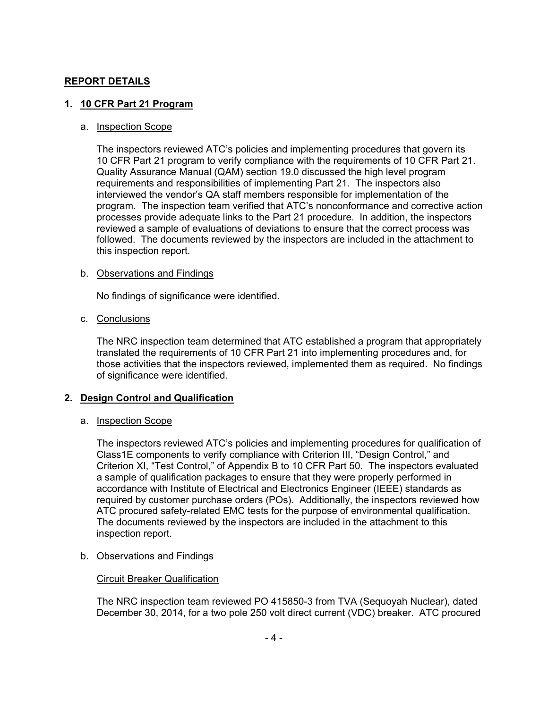## **REPORT DETAILS**

## **1. 10 CFR Part 21 Program**

#### a. Inspection Scope

The inspectors reviewed ATC's policies and implementing procedures that govern its 10 CFR Part 21 program to verify compliance with the requirements of 10 CFR Part 21. Quality Assurance Manual (QAM) section 19.0 discussed the high level program requirements and responsibilities of implementing Part 21. The inspectors also interviewed the vendor's QA staff members responsible for implementation of the program. The inspection team verified that ATC's nonconformance and corrective action processes provide adequate links to the Part 21 procedure. In addition, the inspectors reviewed a sample of evaluations of deviations to ensure that the correct process was followed. The documents reviewed by the inspectors are included in the attachment to this inspection report.

### b. Observations and Findings

No findings of significance were identified.

### c. Conclusions

The NRC inspection team determined that ATC established a program that appropriately translated the requirements of 10 CFR Part 21 into implementing procedures and, for those activities that the inspectors reviewed, implemented them as required. No findings of significance were identified.

## **2. Design Control and Qualification**

## a. Inspection Scope

The inspectors reviewed ATC's policies and implementing procedures for qualification of Class1E components to verify compliance with Criterion III, "Design Control," and Criterion XI, "Test Control," of Appendix B to 10 CFR Part 50. The inspectors evaluated a sample of qualification packages to ensure that they were properly performed in accordance with Institute of Electrical and Electronics Engineer (IEEE) standards as required by customer purchase orders (POs). Additionally, the inspectors reviewed how ATC procured safety-related EMC tests for the purpose of environmental qualification. The documents reviewed by the inspectors are included in the attachment to this inspection report.

## b. Observations and Findings

## Circuit Breaker Qualification

The NRC inspection team reviewed PO 415850-3 from TVA (Sequoyah Nuclear), dated December 30, 2014, for a two pole 250 volt direct current (VDC) breaker. ATC procured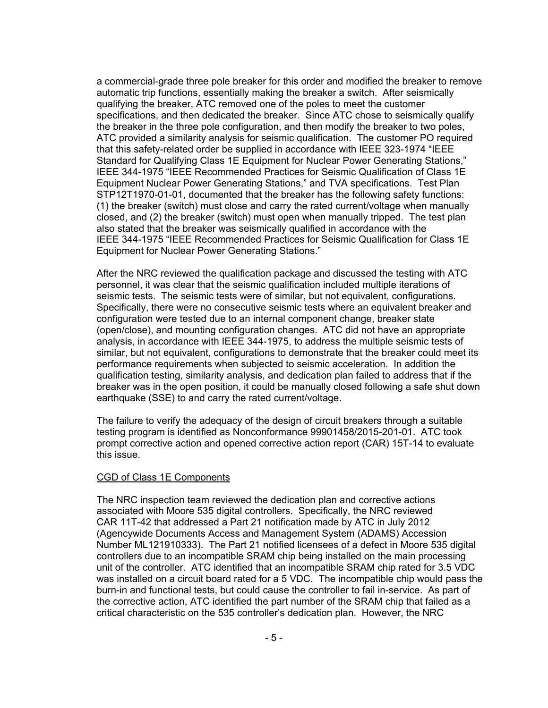a commercial-grade three pole breaker for this order and modified the breaker to remove automatic trip functions, essentially making the breaker a switch. After seismically qualifying the breaker, ATC removed one of the poles to meet the customer specifications, and then dedicated the breaker. Since ATC chose to seismically qualify the breaker in the three pole configuration, and then modify the breaker to two poles, ATC provided a similarity analysis for seismic qualification. The customer PO required that this safety-related order be supplied in accordance with IEEE 323-1974 "IEEE Standard for Qualifying Class 1E Equipment for Nuclear Power Generating Stations," IEEE 344-1975 "IEEE Recommended Practices for Seismic Qualification of Class 1E Equipment Nuclear Power Generating Stations," and TVA specifications. Test Plan STP12T1970-01-01, documented that the breaker has the following safety functions: (1) the breaker (switch) must close and carry the rated current/voltage when manually closed, and (2) the breaker (switch) must open when manually tripped. The test plan also stated that the breaker was seismically qualified in accordance with the IEEE 344-1975 "IEEE Recommended Practices for Seismic Qualification for Class 1E Equipment for Nuclear Power Generating Stations."

After the NRC reviewed the qualification package and discussed the testing with ATC personnel, it was clear that the seismic qualification included multiple iterations of seismic tests. The seismic tests were of similar, but not equivalent, configurations. Specifically, there were no consecutive seismic tests where an equivalent breaker and configuration were tested due to an internal component change, breaker state (open/close), and mounting configuration changes. ATC did not have an appropriate analysis, in accordance with IEEE 344-1975, to address the multiple seismic tests of similar, but not equivalent, configurations to demonstrate that the breaker could meet its performance requirements when subjected to seismic acceleration. In addition the qualification testing, similarity analysis, and dedication plan failed to address that if the breaker was in the open position, it could be manually closed following a safe shut down earthquake (SSE) to and carry the rated current/voltage.

The failure to verify the adequacy of the design of circuit breakers through a suitable testing program is identified as Nonconformance 99901458/2015-201-01. ATC took prompt corrective action and opened corrective action report (CAR) 15T-14 to evaluate this issue.

#### CGD of Class 1E Components

The NRC inspection team reviewed the dedication plan and corrective actions associated with Moore 535 digital controllers. Specifically, the NRC reviewed CAR 11T-42 that addressed a Part 21 notification made by ATC in July 2012 (Agencywide Documents Access and Management System (ADAMS) Accession Number ML121910333). The Part 21 notified licensees of a defect in Moore 535 digital controllers due to an incompatible SRAM chip being installed on the main processing unit of the controller. ATC identified that an incompatible SRAM chip rated for 3.5 VDC was installed on a circuit board rated for a 5 VDC. The incompatible chip would pass the burn-in and functional tests, but could cause the controller to fail in-service. As part of the corrective action, ATC identified the part number of the SRAM chip that failed as a critical characteristic on the 535 controller's dedication plan. However, the NRC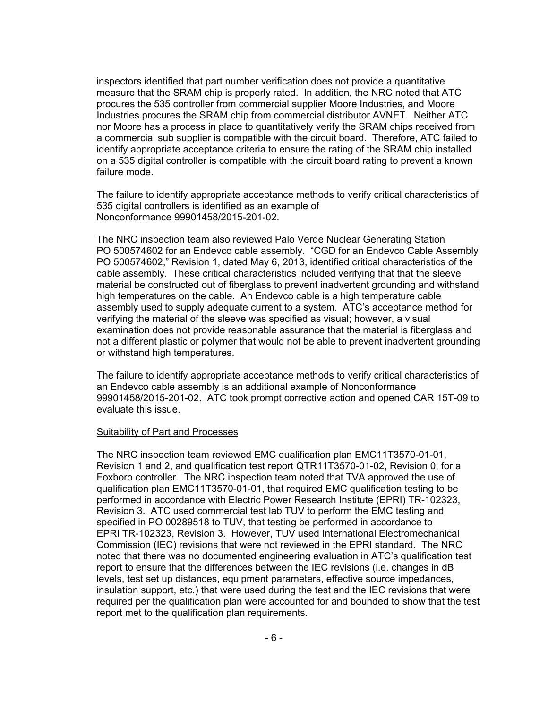inspectors identified that part number verification does not provide a quantitative measure that the SRAM chip is properly rated. In addition, the NRC noted that ATC procures the 535 controller from commercial supplier Moore Industries, and Moore Industries procures the SRAM chip from commercial distributor AVNET. Neither ATC nor Moore has a process in place to quantitatively verify the SRAM chips received from a commercial sub supplier is compatible with the circuit board. Therefore, ATC failed to identify appropriate acceptance criteria to ensure the rating of the SRAM chip installed on a 535 digital controller is compatible with the circuit board rating to prevent a known failure mode.

The failure to identify appropriate acceptance methods to verify critical characteristics of 535 digital controllers is identified as an example of Nonconformance 99901458/2015-201-02.

The NRC inspection team also reviewed Palo Verde Nuclear Generating Station PO 500574602 for an Endevco cable assembly. "CGD for an Endevco Cable Assembly PO 500574602," Revision 1, dated May 6, 2013, identified critical characteristics of the cable assembly. These critical characteristics included verifying that that the sleeve material be constructed out of fiberglass to prevent inadvertent grounding and withstand high temperatures on the cable. An Endevco cable is a high temperature cable assembly used to supply adequate current to a system. ATC's acceptance method for verifying the material of the sleeve was specified as visual; however, a visual examination does not provide reasonable assurance that the material is fiberglass and not a different plastic or polymer that would not be able to prevent inadvertent grounding or withstand high temperatures.

The failure to identify appropriate acceptance methods to verify critical characteristics of an Endevco cable assembly is an additional example of Nonconformance 99901458/2015-201-02. ATC took prompt corrective action and opened CAR 15T-09 to evaluate this issue.

#### Suitability of Part and Processes

The NRC inspection team reviewed EMC qualification plan EMC11T3570-01-01, Revision 1 and 2, and qualification test report QTR11T3570-01-02, Revision 0, for a Foxboro controller. The NRC inspection team noted that TVA approved the use of qualification plan EMC11T3570-01-01, that required EMC qualification testing to be performed in accordance with Electric Power Research Institute (EPRI) TR-102323, Revision 3. ATC used commercial test lab TUV to perform the EMC testing and specified in PO 00289518 to TUV, that testing be performed in accordance to EPRI TR-102323, Revision 3. However, TUV used International Electromechanical Commission (IEC) revisions that were not reviewed in the EPRI standard. The NRC noted that there was no documented engineering evaluation in ATC's qualification test report to ensure that the differences between the IEC revisions (i.e. changes in dB levels, test set up distances, equipment parameters, effective source impedances, insulation support, etc.) that were used during the test and the IEC revisions that were required per the qualification plan were accounted for and bounded to show that the test report met to the qualification plan requirements.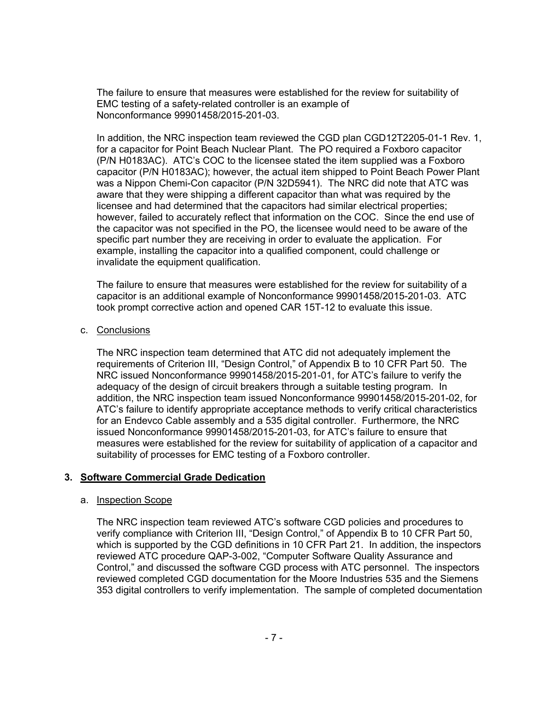The failure to ensure that measures were established for the review for suitability of EMC testing of a safety-related controller is an example of Nonconformance 99901458/2015-201-03.

In addition, the NRC inspection team reviewed the CGD plan CGD12T2205-01-1 Rev. 1, for a capacitor for Point Beach Nuclear Plant. The PO required a Foxboro capacitor (P/N H0183AC). ATC's COC to the licensee stated the item supplied was a Foxboro capacitor (P/N H0183AC); however, the actual item shipped to Point Beach Power Plant was a Nippon Chemi-Con capacitor (P/N 32D5941). The NRC did note that ATC was aware that they were shipping a different capacitor than what was required by the licensee and had determined that the capacitors had similar electrical properties; however, failed to accurately reflect that information on the COC. Since the end use of the capacitor was not specified in the PO, the licensee would need to be aware of the specific part number they are receiving in order to evaluate the application. For example, installing the capacitor into a qualified component, could challenge or invalidate the equipment qualification.

The failure to ensure that measures were established for the review for suitability of a capacitor is an additional example of Nonconformance 99901458/2015-201-03. ATC took prompt corrective action and opened CAR 15T-12 to evaluate this issue.

### c. Conclusions

The NRC inspection team determined that ATC did not adequately implement the requirements of Criterion III, "Design Control," of Appendix B to 10 CFR Part 50. The NRC issued Nonconformance 99901458/2015-201-01, for ATC's failure to verify the adequacy of the design of circuit breakers through a suitable testing program. In addition, the NRC inspection team issued Nonconformance 99901458/2015-201-02, for ATC's failure to identify appropriate acceptance methods to verify critical characteristics for an Endevco Cable assembly and a 535 digital controller. Furthermore, the NRC issued Nonconformance 99901458/2015-201-03, for ATC's failure to ensure that measures were established for the review for suitability of application of a capacitor and suitability of processes for EMC testing of a Foxboro controller.

## **3. Software Commercial Grade Dedication**

#### a. Inspection Scope

The NRC inspection team reviewed ATC's software CGD policies and procedures to verify compliance with Criterion III, "Design Control," of Appendix B to 10 CFR Part 50, which is supported by the CGD definitions in 10 CFR Part 21. In addition, the inspectors reviewed ATC procedure QAP-3-002, "Computer Software Quality Assurance and Control," and discussed the software CGD process with ATC personnel. The inspectors reviewed completed CGD documentation for the Moore Industries 535 and the Siemens 353 digital controllers to verify implementation. The sample of completed documentation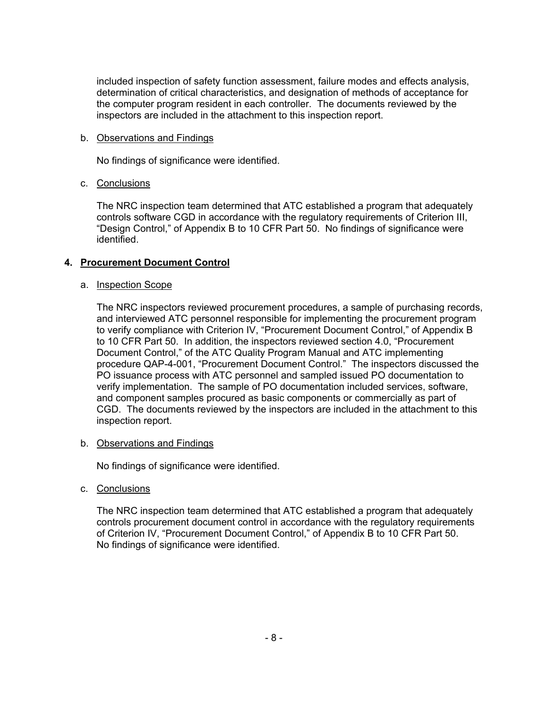included inspection of safety function assessment, failure modes and effects analysis, determination of critical characteristics, and designation of methods of acceptance for the computer program resident in each controller. The documents reviewed by the inspectors are included in the attachment to this inspection report.

## b. Observations and Findings

No findings of significance were identified.

## c. Conclusions

The NRC inspection team determined that ATC established a program that adequately controls software CGD in accordance with the regulatory requirements of Criterion III, "Design Control," of Appendix B to 10 CFR Part 50. No findings of significance were identified.

## **4. Procurement Document Control**

## a. Inspection Scope

The NRC inspectors reviewed procurement procedures, a sample of purchasing records, and interviewed ATC personnel responsible for implementing the procurement program to verify compliance with Criterion IV, "Procurement Document Control," of Appendix B to 10 CFR Part 50. In addition, the inspectors reviewed section 4.0, "Procurement Document Control," of the ATC Quality Program Manual and ATC implementing procedure QAP-4-001, "Procurement Document Control." The inspectors discussed the PO issuance process with ATC personnel and sampled issued PO documentation to verify implementation. The sample of PO documentation included services, software, and component samples procured as basic components or commercially as part of CGD. The documents reviewed by the inspectors are included in the attachment to this inspection report.

## b. Observations and Findings

No findings of significance were identified.

c. Conclusions

The NRC inspection team determined that ATC established a program that adequately controls procurement document control in accordance with the regulatory requirements of Criterion IV, "Procurement Document Control," of Appendix B to 10 CFR Part 50. No findings of significance were identified.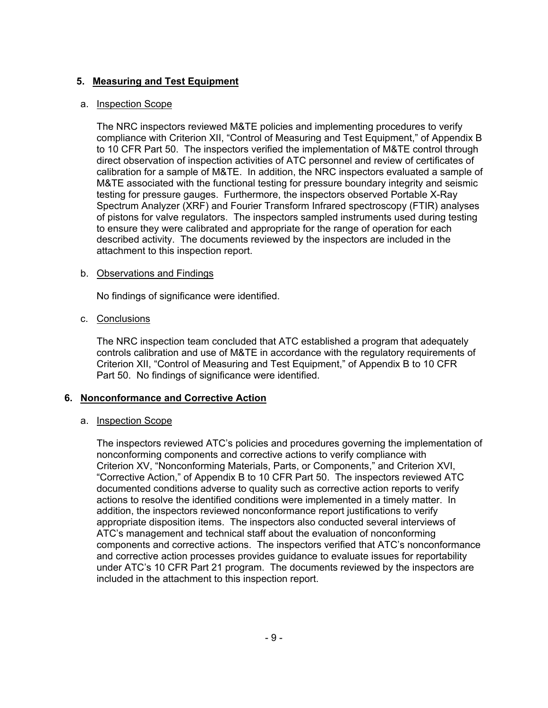## **5. Measuring and Test Equipment**

### a. Inspection Scope

The NRC inspectors reviewed M&TE policies and implementing procedures to verify compliance with Criterion XII, "Control of Measuring and Test Equipment," of Appendix B to 10 CFR Part 50. The inspectors verified the implementation of M&TE control through direct observation of inspection activities of ATC personnel and review of certificates of calibration for a sample of M&TE. In addition, the NRC inspectors evaluated a sample of M&TE associated with the functional testing for pressure boundary integrity and seismic testing for pressure gauges. Furthermore, the inspectors observed Portable X-Ray Spectrum Analyzer (XRF) and Fourier Transform Infrared spectroscopy (FTIR) analyses of pistons for valve regulators. The inspectors sampled instruments used during testing to ensure they were calibrated and appropriate for the range of operation for each described activity. The documents reviewed by the inspectors are included in the attachment to this inspection report.

### b. Observations and Findings

No findings of significance were identified.

### c. Conclusions

The NRC inspection team concluded that ATC established a program that adequately controls calibration and use of M&TE in accordance with the regulatory requirements of Criterion XII, "Control of Measuring and Test Equipment," of Appendix B to 10 CFR Part 50. No findings of significance were identified.

## **6. Nonconformance and Corrective Action**

## a. Inspection Scope

The inspectors reviewed ATC's policies and procedures governing the implementation of nonconforming components and corrective actions to verify compliance with Criterion XV, "Nonconforming Materials, Parts, or Components," and Criterion XVI, "Corrective Action," of Appendix B to 10 CFR Part 50. The inspectors reviewed ATC documented conditions adverse to quality such as corrective action reports to verify actions to resolve the identified conditions were implemented in a timely matter. In addition, the inspectors reviewed nonconformance report justifications to verify appropriate disposition items. The inspectors also conducted several interviews of ATC's management and technical staff about the evaluation of nonconforming components and corrective actions. The inspectors verified that ATC's nonconformance and corrective action processes provides guidance to evaluate issues for reportability under ATC's 10 CFR Part 21 program. The documents reviewed by the inspectors are included in the attachment to this inspection report.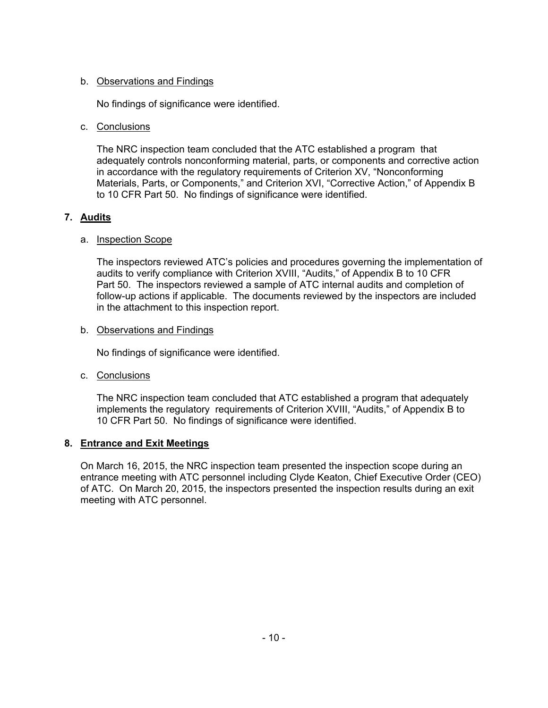## b. Observations and Findings

No findings of significance were identified.

## c. Conclusions

The NRC inspection team concluded that the ATC established a program that adequately controls nonconforming material, parts, or components and corrective action in accordance with the regulatory requirements of Criterion XV, "Nonconforming Materials, Parts, or Components," and Criterion XVI, "Corrective Action," of Appendix B to 10 CFR Part 50. No findings of significance were identified.

## **7. Audits**

## a. Inspection Scope

The inspectors reviewed ATC's policies and procedures governing the implementation of audits to verify compliance with Criterion XVIII, "Audits," of Appendix B to 10 CFR Part 50. The inspectors reviewed a sample of ATC internal audits and completion of follow-up actions if applicable. The documents reviewed by the inspectors are included in the attachment to this inspection report.

## b. Observations and Findings

No findings of significance were identified.

c. Conclusions

The NRC inspection team concluded that ATC established a program that adequately implements the regulatory requirements of Criterion XVIII, "Audits," of Appendix B to 10 CFR Part 50. No findings of significance were identified.

## **8. Entrance and Exit Meetings**

On March 16, 2015, the NRC inspection team presented the inspection scope during an entrance meeting with ATC personnel including Clyde Keaton, Chief Executive Order (CEO) of ATC. On March 20, 2015, the inspectors presented the inspection results during an exit meeting with ATC personnel.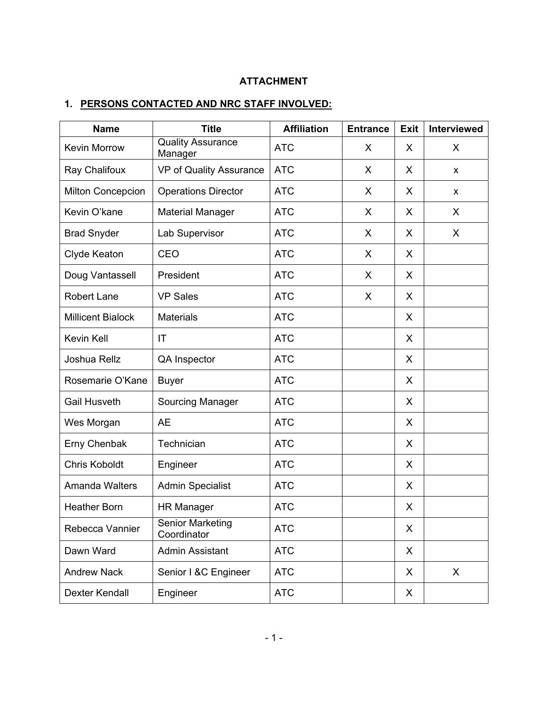# **ATTACHMENT**

# **1. PERSONS CONTACTED AND NRC STAFF INVOLVED:**

| <b>Name</b>              | <b>Title</b>                           | <b>Affiliation</b> | <b>Entrance</b> | Exit | <b>Interviewed</b> |
|--------------------------|----------------------------------------|--------------------|-----------------|------|--------------------|
| <b>Kevin Morrow</b>      | <b>Quality Assurance</b><br>Manager    | <b>ATC</b>         | X               | X    | X                  |
| Ray Chalifoux            | VP of Quality Assurance                | <b>ATC</b>         | X               | X    | X                  |
| Milton Concepcion        | <b>Operations Director</b>             | <b>ATC</b>         | X               | X    | X                  |
| Kevin O'kane             | <b>Material Manager</b>                | <b>ATC</b>         | X               | X    | X                  |
| <b>Brad Snyder</b>       | Lab Supervisor                         | <b>ATC</b>         | X               | X    | X                  |
| Clyde Keaton             | CEO                                    | <b>ATC</b>         | X               | X    |                    |
| Doug Vantassell          | President                              | <b>ATC</b>         | X               | X    |                    |
| Robert Lane              | <b>VP Sales</b>                        | <b>ATC</b>         | X               | X    |                    |
| <b>Millicent Bialock</b> | <b>Materials</b>                       | <b>ATC</b>         |                 | X    |                    |
| Kevin Kell               | IT                                     | <b>ATC</b>         |                 | X    |                    |
| Joshua Rellz             | QA Inspector                           | <b>ATC</b>         |                 | X    |                    |
| Rosemarie O'Kane         | <b>Buyer</b>                           | <b>ATC</b>         |                 | X    |                    |
| <b>Gail Husveth</b>      | Sourcing Manager                       | <b>ATC</b>         |                 | X    |                    |
| Wes Morgan               | <b>AE</b>                              | <b>ATC</b>         |                 | X    |                    |
| Erny Chenbak             | Technician                             | <b>ATC</b>         |                 | X    |                    |
| <b>Chris Koboldt</b>     | Engineer                               | <b>ATC</b>         |                 | X    |                    |
| <b>Amanda Walters</b>    | <b>Admin Specialist</b>                | <b>ATC</b>         |                 | X    |                    |
| <b>Heather Born</b>      | <b>HR Manager</b>                      | <b>ATC</b>         |                 | X    |                    |
| Rebecca Vannier          | <b>Senior Marketing</b><br>Coordinator | <b>ATC</b>         |                 | X    |                    |
| Dawn Ward                | <b>Admin Assistant</b>                 | <b>ATC</b>         |                 | X    |                    |
| <b>Andrew Nack</b>       | Senior I &C Engineer                   | <b>ATC</b>         |                 | X    | X                  |
| <b>Dexter Kendall</b>    | Engineer                               | <b>ATC</b>         |                 | X    |                    |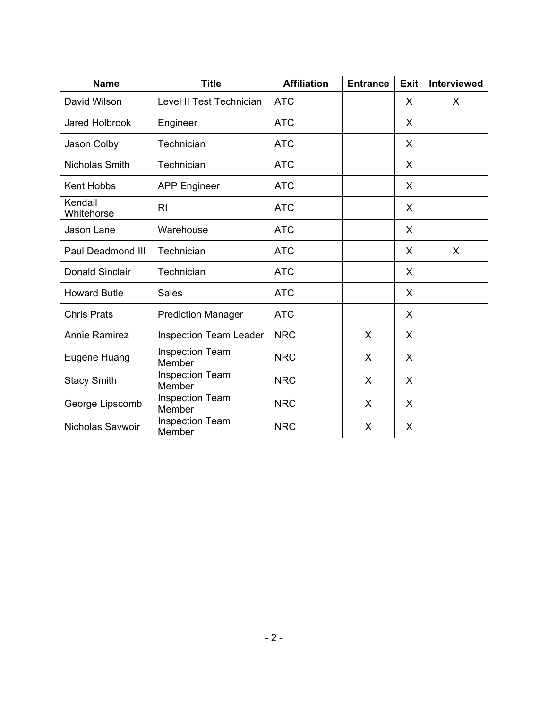| <b>Name</b>            | <b>Title</b>                     | <b>Affiliation</b> | <b>Entrance</b> | Exit    | <b>Interviewed</b> |
|------------------------|----------------------------------|--------------------|-----------------|---------|--------------------|
| David Wilson           | Level II Test Technician         | <b>ATC</b>         |                 | X       | X                  |
| <b>Jared Holbrook</b>  | Engineer                         | <b>ATC</b>         |                 | X       |                    |
| Jason Colby            | Technician                       | <b>ATC</b>         |                 | X       |                    |
| Nicholas Smith         | Technician                       | <b>ATC</b>         |                 | X       |                    |
| Kent Hobbs             | <b>APP Engineer</b>              | <b>ATC</b>         |                 | X       |                    |
| Kendall<br>Whitehorse  | R <sub>l</sub>                   | <b>ATC</b>         |                 | X       |                    |
| Jason Lane             | Warehouse                        | <b>ATC</b>         |                 | X       |                    |
| Paul Deadmond III      | Technician                       | <b>ATC</b>         |                 | X       | X                  |
| <b>Donald Sinclair</b> | Technician                       | <b>ATC</b>         |                 | X       |                    |
| <b>Howard Butle</b>    | <b>Sales</b>                     | <b>ATC</b>         |                 | X       |                    |
| <b>Chris Prats</b>     | <b>Prediction Manager</b>        | <b>ATC</b>         |                 | X       |                    |
| <b>Annie Ramirez</b>   | <b>Inspection Team Leader</b>    | <b>NRC</b>         | $\sf X$         | X       |                    |
| Eugene Huang           | <b>Inspection Team</b><br>Member | <b>NRC</b>         | X               | $\sf X$ |                    |
| <b>Stacy Smith</b>     | <b>Inspection Team</b><br>Member | <b>NRC</b>         | X               | X       |                    |
| George Lipscomb        | <b>Inspection Team</b><br>Member | <b>NRC</b>         | X               | X       |                    |
| Nicholas Savwoir       | <b>Inspection Team</b><br>Member | <b>NRC</b>         | X               | X       |                    |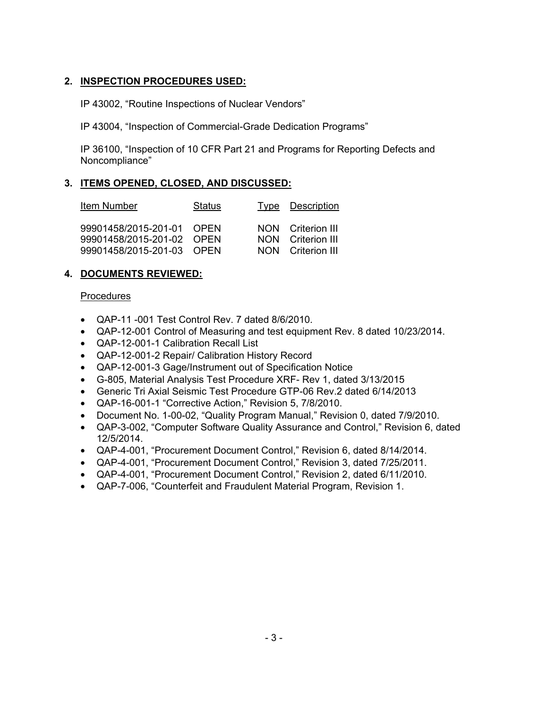## **2. INSPECTION PROCEDURES USED:**

IP 43002, "Routine Inspections of Nuclear Vendors"

IP 43004, "Inspection of Commercial-Grade Dedication Programs"

IP 36100, "Inspection of 10 CFR Part 21 and Programs for Reporting Defects and Noncompliance"

## **3. ITEMS OPENED, CLOSED, AND DISCUSSED:**

| Item Number                                                                         | <b>Status</b> | Type Description                                            |
|-------------------------------------------------------------------------------------|---------------|-------------------------------------------------------------|
| 99901458/2015-201-01 OPEN<br>99901458/2015-201-02 OPEN<br>99901458/2015-201-03 OPEN |               | NON Criterion III<br>NON Criterion III<br>NON Criterion III |

## **4. DOCUMENTS REVIEWED:**

### **Procedures**

- QAP-11 -001 Test Control Rev. 7 dated 8/6/2010.
- QAP-12-001 Control of Measuring and test equipment Rev. 8 dated 10/23/2014.
- QAP-12-001-1 Calibration Recall List
- QAP-12-001-2 Repair/ Calibration History Record
- QAP-12-001-3 Gage/Instrument out of Specification Notice
- G-805, Material Analysis Test Procedure XRF- Rev 1, dated 3/13/2015
- Generic Tri Axial Seismic Test Procedure GTP-06 Rev.2 dated 6/14/2013
- QAP-16-001-1 "Corrective Action," Revision 5, 7/8/2010.
- Document No. 1-00-02, "Quality Program Manual," Revision 0, dated 7/9/2010.
- QAP-3-002, "Computer Software Quality Assurance and Control," Revision 6, dated 12/5/2014.
- QAP-4-001, "Procurement Document Control," Revision 6, dated 8/14/2014.
- QAP-4-001, "Procurement Document Control," Revision 3, dated 7/25/2011.
- QAP-4-001, "Procurement Document Control," Revision 2, dated 6/11/2010.
- QAP-7-006, "Counterfeit and Fraudulent Material Program, Revision 1.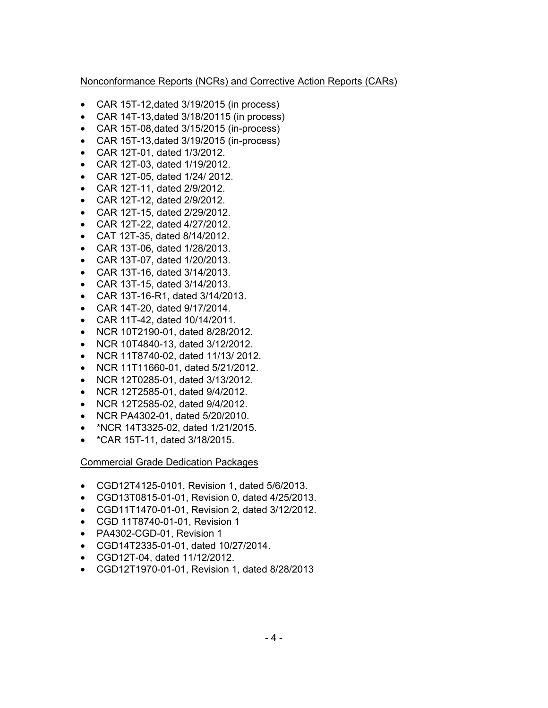## Nonconformance Reports (NCRs) and Corrective Action Reports (CARs)

- CAR 15T-12,dated 3/19/2015 (in process)
- CAR 14T-13,dated 3/18/20115 (in process)
- CAR 15T-08,dated 3/15/2015 (in-process)
- CAR 15T-13,dated 3/19/2015 (in-process)
- CAR 12T-01, dated 1/3/2012.
- CAR 12T-03, dated 1/19/2012.
- CAR 12T-05, dated 1/24/ 2012.
- CAR 12T-11, dated 2/9/2012.
- CAR 12T-12, dated 2/9/2012.
- CAR 12T-15, dated 2/29/2012.
- CAR 12T-22, dated 4/27/2012.
- CAT 12T-35, dated 8/14/2012.
- CAR 13T-06, dated 1/28/2013.
- CAR 13T-07, dated 1/20/2013.
- CAR 13T-16, dated 3/14/2013.
- CAR 13T-15, dated 3/14/2013.
- CAR 13T-16-R1, dated 3/14/2013.
- CAR 14T-20, dated 9/17/2014.
- CAR 11T-42, dated 10/14/2011.
- NCR 10T2190-01, dated 8/28/2012.
- NCR 10T4840-13, dated 3/12/2012.
- NCR 11T8740-02, dated 11/13/ 2012.
- NCR 11T11660-01, dated 5/21/2012.
- NCR 12T0285-01, dated 3/13/2012.
- NCR 12T2585-01, dated 9/4/2012.
- NCR 12T2585-02, dated 9/4/2012.
- NCR PA4302-01, dated 5/20/2010.
- \*NCR 14T3325-02, dated 1/21/2015.
- \*CAR 15T-11, dated 3/18/2015.

Commercial Grade Dedication Packages

- CGD12T4125-0101, Revision 1, dated 5/6/2013.
- CGD13T0815-01-01, Revision 0, dated 4/25/2013.
- CGD11T1470-01-01, Revision 2, dated 3/12/2012.
- CGD 11T8740-01-01, Revision 1
- PA4302-CGD-01, Revision 1
- CGD14T2335-01-01, dated 10/27/2014.
- CGD12T-04, dated 11/12/2012.
- CGD12T1970-01-01, Revision 1, dated 8/28/2013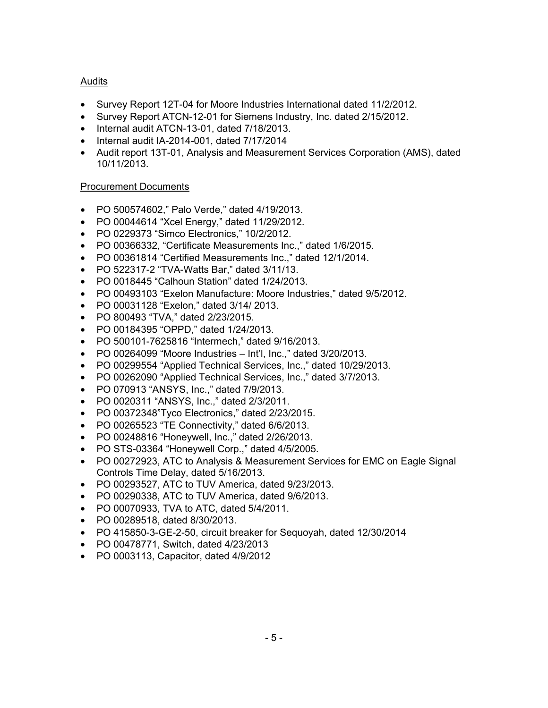## Audits

- Survey Report 12T-04 for Moore Industries International dated 11/2/2012.
- Survey Report ATCN-12-01 for Siemens Industry, Inc. dated 2/15/2012.
- Internal audit ATCN-13-01, dated 7/18/2013.
- Internal audit IA-2014-001, dated 7/17/2014
- Audit report 13T-01, Analysis and Measurement Services Corporation (AMS), dated 10/11/2013.

## Procurement Documents

- PO 500574602," Palo Verde," dated 4/19/2013.
- PO 00044614 "Xcel Energy," dated 11/29/2012.
- PO 0229373 "Simco Electronics," 10/2/2012.
- PO 00366332, "Certificate Measurements Inc.," dated 1/6/2015.
- PO 00361814 "Certified Measurements Inc.," dated 12/1/2014.
- PO 522317-2 "TVA-Watts Bar," dated 3/11/13.
- PO 0018445 "Calhoun Station" dated 1/24/2013.
- PO 00493103 "Exelon Manufacture: Moore Industries," dated 9/5/2012.
- PO 00031128 "Exelon," dated 3/14/ 2013.
- PO 800493 "TVA," dated 2/23/2015.
- PO 00184395 "OPPD," dated 1/24/2013.
- PO 500101-7625816 "Intermech," dated 9/16/2013.
- PO 00264099 "Moore Industries Int'l, Inc.," dated 3/20/2013.
- PO 00299554 "Applied Technical Services, Inc.," dated 10/29/2013.
- PO 00262090 "Applied Technical Services, Inc.," dated 3/7/2013.
- PO 070913 "ANSYS, Inc.," dated 7/9/2013.
- PO 0020311 "ANSYS, Inc.," dated 2/3/2011.
- PO 00372348"Tyco Electronics," dated 2/23/2015.
- PO 00265523 "TE Connectivity," dated 6/6/2013.
- PO 00248816 "Honeywell, Inc.," dated 2/26/2013.
- PO STS-03364 "Honeywell Corp.," dated 4/5/2005.
- PO 00272923, ATC to Analysis & Measurement Services for EMC on Eagle Signal Controls Time Delay, dated 5/16/2013.
- PO 00293527, ATC to TUV America, dated 9/23/2013.
- PO 00290338, ATC to TUV America, dated 9/6/2013.
- PO 00070933, TVA to ATC, dated 5/4/2011.
- PO 00289518, dated 8/30/2013.
- PO 415850-3-GE-2-50, circuit breaker for Sequoyah, dated 12/30/2014
- PO 00478771, Switch, dated 4/23/2013
- PO 0003113, Capacitor, dated 4/9/2012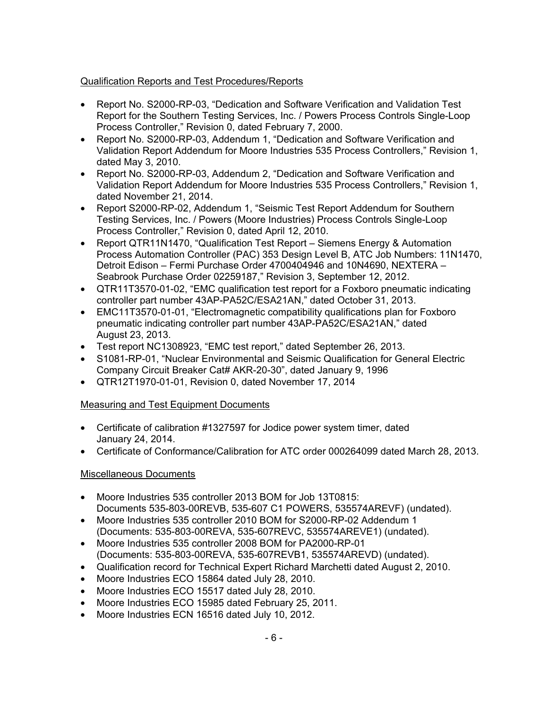## Qualification Reports and Test Procedures/Reports

- Report No. S2000-RP-03, "Dedication and Software Verification and Validation Test Report for the Southern Testing Services, Inc. / Powers Process Controls Single-Loop Process Controller," Revision 0, dated February 7, 2000.
- Report No. S2000-RP-03, Addendum 1, "Dedication and Software Verification and Validation Report Addendum for Moore Industries 535 Process Controllers," Revision 1, dated May 3, 2010.
- Report No. S2000-RP-03, Addendum 2, "Dedication and Software Verification and Validation Report Addendum for Moore Industries 535 Process Controllers," Revision 1, dated November 21, 2014.
- Report S2000-RP-02, Addendum 1, "Seismic Test Report Addendum for Southern Testing Services, Inc. / Powers (Moore Industries) Process Controls Single-Loop Process Controller," Revision 0, dated April 12, 2010.
- Report QTR11N1470, "Qualification Test Report Siemens Energy & Automation Process Automation Controller (PAC) 353 Design Level B, ATC Job Numbers: 11N1470, Detroit Edison – Fermi Purchase Order 4700404946 and 10N4690, NEXTERA – Seabrook Purchase Order 02259187," Revision 3, September 12, 2012.
- QTR11T3570-01-02, "EMC qualification test report for a Foxboro pneumatic indicating controller part number 43AP-PA52C/ESA21AN," dated October 31, 2013.
- EMC11T3570-01-01, "Electromagnetic compatibility qualifications plan for Foxboro pneumatic indicating controller part number 43AP-PA52C/ESA21AN," dated August 23, 2013.
- Test report NC1308923, "EMC test report," dated September 26, 2013.
- S1081-RP-01, "Nuclear Environmental and Seismic Qualification for General Electric Company Circuit Breaker Cat# AKR-20-30", dated January 9, 1996
- QTR12T1970-01-01, Revision 0, dated November 17, 2014

## Measuring and Test Equipment Documents

- Certificate of calibration #1327597 for Jodice power system timer, dated January 24, 2014.
- Certificate of Conformance/Calibration for ATC order 000264099 dated March 28, 2013.

## Miscellaneous Documents

- Moore Industries 535 controller 2013 BOM for Job 13T0815: Documents 535-803-00REVB, 535-607 C1 POWERS, 535574AREVF) (undated).
- Moore Industries 535 controller 2010 BOM for S2000-RP-02 Addendum 1 (Documents: 535-803-00REVA, 535-607REVC, 535574AREVE1) (undated).
- Moore Industries 535 controller 2008 BOM for PA2000-RP-01 (Documents: 535-803-00REVA, 535-607REVB1, 535574AREVD) (undated).
- Qualification record for Technical Expert Richard Marchetti dated August 2, 2010.
- Moore Industries ECO 15864 dated July 28, 2010.
- Moore Industries ECO 15517 dated July 28, 2010.
- Moore Industries ECO 15985 dated February 25, 2011.
- Moore Industries ECN 16516 dated July 10, 2012.